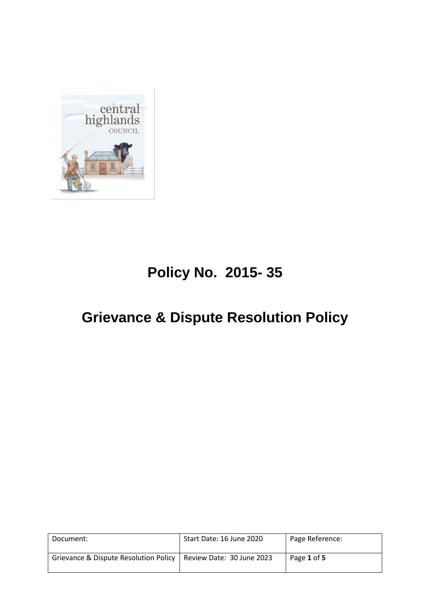

# **Policy No. 2015- 35**

## **Grievance & Dispute Resolution Policy**

| Document:                                                         | Start Date: 16 June 2020 | Page Reference: |
|-------------------------------------------------------------------|--------------------------|-----------------|
| Grievance & Dispute Resolution Policy   Review Date: 30 June 2023 |                          | Page 1 of 5     |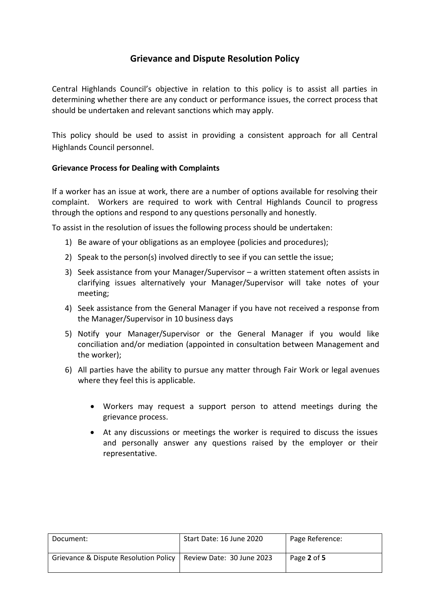### **Grievance and Dispute Resolution Policy**

Central Highlands Council's objective in relation to this policy is to assist all parties in determining whether there are any conduct or performance issues, the correct process that should be undertaken and relevant sanctions which may apply.

This policy should be used to assist in providing a consistent approach for all Central Highlands Council personnel.

#### **Grievance Process for Dealing with Complaints**

If a worker has an issue at work, there are a number of options available for resolving their complaint. Workers are required to work with Central Highlands Council to progress through the options and respond to any questions personally and honestly.

To assist in the resolution of issues the following process should be undertaken:

- 1) Be aware of your obligations as an employee (policies and procedures);
- 2) Speak to the person(s) involved directly to see if you can settle the issue;
- 3) Seek assistance from your Manager/Supervisor a written statement often assists in clarifying issues alternatively your Manager/Supervisor will take notes of your meeting;
- 4) Seek assistance from the General Manager if you have not received a response from the Manager/Supervisor in 10 business days
- 5) Notify your Manager/Supervisor or the General Manager if you would like conciliation and/or mediation (appointed in consultation between Management and the worker);
- 6) All parties have the ability to pursue any matter through Fair Work or legal avenues where they feel this is applicable.
	- Workers may request a support person to attend meetings during the grievance process.
	- At any discussions or meetings the worker is required to discuss the issues and personally answer any questions raised by the employer or their representative.

| Document:                             | Start Date: 16 June 2020  | Page Reference: |
|---------------------------------------|---------------------------|-----------------|
| Grievance & Dispute Resolution Policy | Review Date: 30 June 2023 | Page 2 of 5     |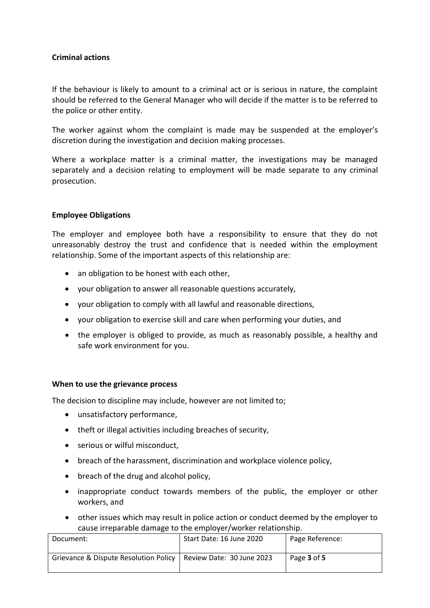#### **Criminal actions**

If the behaviour is likely to amount to a criminal act or is serious in nature, the complaint should be referred to the General Manager who will decide if the matter is to be referred to the police or other entity.

The worker against whom the complaint is made may be suspended at the employer's discretion during the investigation and decision making processes.

Where a workplace matter is a criminal matter, the investigations may be managed separately and a decision relating to employment will be made separate to any criminal prosecution.

#### **Employee Obligations**

The employer and employee both have a responsibility to ensure that they do not unreasonably destroy the trust and confidence that is needed within the employment relationship. Some of the important aspects of this relationship are:

- an obligation to be honest with each other,
- your obligation to answer all reasonable questions accurately,
- your obligation to comply with all lawful and reasonable directions,
- your obligation to exercise skill and care when performing your duties, and
- the employer is obliged to provide, as much as reasonably possible, a healthy and safe work environment for you.

#### **When to use the grievance process**

The decision to discipline may include, however are not limited to;

- unsatisfactory performance,
- theft or illegal activities including breaches of security,
- serious or wilful misconduct,
- breach of the harassment, discrimination and workplace violence policy,
- breach of the drug and alcohol policy,
- inappropriate conduct towards members of the public, the employer or other workers, and
- other issues which may result in police action or conduct deemed by the employer to cause irreparable damage to the employer/worker relationship.

| Document:                             | Start Date: 16 June 2020  | Page Reference: |
|---------------------------------------|---------------------------|-----------------|
| Grievance & Dispute Resolution Policy | Review Date: 30 June 2023 | Page 3 of 5     |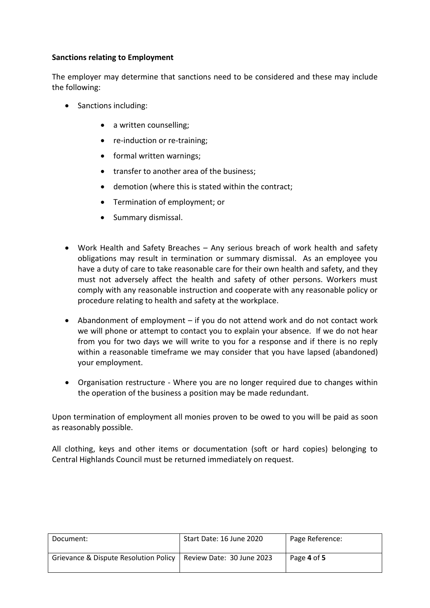#### **Sanctions relating to Employment**

The employer may determine that sanctions need to be considered and these may include the following:

- Sanctions including:
	- a written counselling:
	- re-induction or re-training;
	- formal written warnings:
	- transfer to another area of the business;
	- demotion (where this is stated within the contract;
	- Termination of employment; or
	- Summary dismissal.
- Work Health and Safety Breaches Any serious breach of work health and safety obligations may result in termination or summary dismissal. As an employee you have a duty of care to take reasonable care for their own health and safety, and they must not adversely affect the health and safety of other persons. Workers must comply with any reasonable instruction and cooperate with any reasonable policy or procedure relating to health and safety at the workplace.
- Abandonment of employment if you do not attend work and do not contact work we will phone or attempt to contact you to explain your absence. If we do not hear from you for two days we will write to you for a response and if there is no reply within a reasonable timeframe we may consider that you have lapsed (abandoned) your employment.
- Organisation restructure Where you are no longer required due to changes within the operation of the business a position may be made redundant.

Upon termination of employment all monies proven to be owed to you will be paid as soon as reasonably possible.

All clothing, keys and other items or documentation (soft or hard copies) belonging to Central Highlands Council must be returned immediately on request.

| Document:                             | Start Date: 16 June 2020  | Page Reference: |
|---------------------------------------|---------------------------|-----------------|
| Grievance & Dispute Resolution Policy | Review Date: 30 June 2023 | Page 4 of 5     |